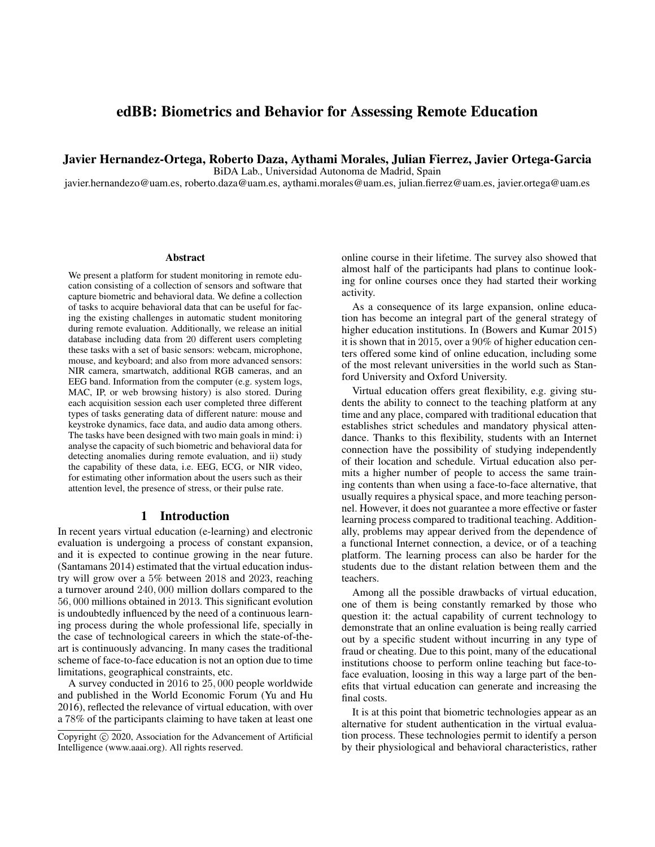# edBB: Biometrics and Behavior for Assessing Remote Education

Javier Hernandez-Ortega, Roberto Daza, Aythami Morales, Julian Fierrez, Javier Ortega-Garcia

BiDA Lab., Universidad Autonoma de Madrid, Spain

javier.hernandezo@uam.es, roberto.daza@uam.es, aythami.morales@uam.es, julian.fierrez@uam.es, javier.ortega@uam.es

#### **Abstract**

We present a platform for student monitoring in remote education consisting of a collection of sensors and software that capture biometric and behavioral data. We define a collection of tasks to acquire behavioral data that can be useful for facing the existing challenges in automatic student monitoring during remote evaluation. Additionally, we release an initial database including data from 20 different users completing these tasks with a set of basic sensors: webcam, microphone, mouse, and keyboard; and also from more advanced sensors: NIR camera, smartwatch, additional RGB cameras, and an EEG band. Information from the computer (e.g. system logs, MAC, IP, or web browsing history) is also stored. During each acquisition session each user completed three different types of tasks generating data of different nature: mouse and keystroke dynamics, face data, and audio data among others. The tasks have been designed with two main goals in mind: i) analyse the capacity of such biometric and behavioral data for detecting anomalies during remote evaluation, and ii) study the capability of these data, i.e. EEG, ECG, or NIR video, for estimating other information about the users such as their attention level, the presence of stress, or their pulse rate.

#### 1 Introduction

In recent years virtual education (e-learning) and electronic evaluation is undergoing a process of constant expansion, and it is expected to continue growing in the near future. (Santamans 2014) estimated that the virtual education industry will grow over a 5% between 2018 and 2023, reaching a turnover around 240, 000 million dollars compared to the 56, 000 millions obtained in 2013. This significant evolution is undoubtedly influenced by the need of a continuous learning process during the whole professional life, specially in the case of technological careers in which the state-of-theart is continuously advancing. In many cases the traditional scheme of face-to-face education is not an option due to time limitations, geographical constraints, etc.

A survey conducted in 2016 to 25, 000 people worldwide and published in the World Economic Forum (Yu and Hu 2016), reflected the relevance of virtual education, with over a 78% of the participants claiming to have taken at least one

online course in their lifetime. The survey also showed that almost half of the participants had plans to continue looking for online courses once they had started their working activity.

As a consequence of its large expansion, online education has become an integral part of the general strategy of higher education institutions. In (Bowers and Kumar 2015) it is shown that in 2015, over a 90% of higher education centers offered some kind of online education, including some of the most relevant universities in the world such as Stanford University and Oxford University.

Virtual education offers great flexibility, e.g. giving students the ability to connect to the teaching platform at any time and any place, compared with traditional education that establishes strict schedules and mandatory physical attendance. Thanks to this flexibility, students with an Internet connection have the possibility of studying independently of their location and schedule. Virtual education also permits a higher number of people to access the same training contents than when using a face-to-face alternative, that usually requires a physical space, and more teaching personnel. However, it does not guarantee a more effective or faster learning process compared to traditional teaching. Additionally, problems may appear derived from the dependence of a functional Internet connection, a device, or of a teaching platform. The learning process can also be harder for the students due to the distant relation between them and the teachers.

Among all the possible drawbacks of virtual education, one of them is being constantly remarked by those who question it: the actual capability of current technology to demonstrate that an online evaluation is being really carried out by a specific student without incurring in any type of fraud or cheating. Due to this point, many of the educational institutions choose to perform online teaching but face-toface evaluation, loosing in this way a large part of the benefits that virtual education can generate and increasing the final costs.

It is at this point that biometric technologies appear as an alternative for student authentication in the virtual evaluation process. These technologies permit to identify a person by their physiological and behavioral characteristics, rather

Copyright (c) 2020, Association for the Advancement of Artificial Intelligence (www.aaai.org). All rights reserved.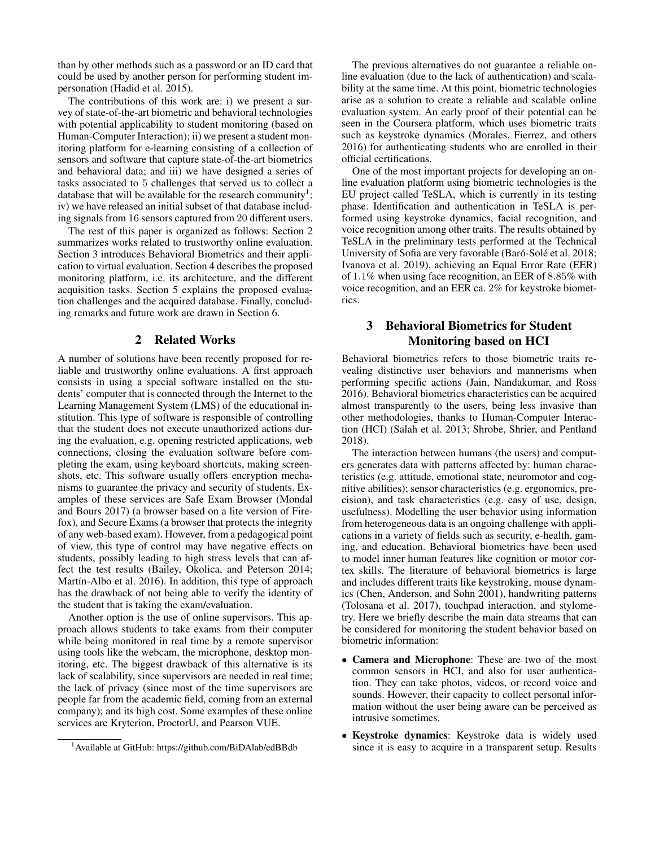than by other methods such as a password or an ID card that could be used by another person for performing student impersonation (Hadid et al. 2015).

The contributions of this work are: i) we present a survey of state-of-the-art biometric and behavioral technologies with potential applicability to student monitoring (based on Human-Computer Interaction); ii) we present a student monitoring platform for e-learning consisting of a collection of sensors and software that capture state-of-the-art biometrics and behavioral data; and iii) we have designed a series of tasks associated to 5 challenges that served us to collect a database that will be available for the research community<sup>1</sup>; iv) we have released an initial subset of that database including signals from 16 sensors captured from 20 different users.

The rest of this paper is organized as follows: Section 2 summarizes works related to trustworthy online evaluation. Section 3 introduces Behavioral Biometrics and their application to virtual evaluation. Section 4 describes the proposed monitoring platform, i.e. its architecture, and the different acquisition tasks. Section 5 explains the proposed evaluation challenges and the acquired database. Finally, concluding remarks and future work are drawn in Section 6.

#### 2 Related Works

A number of solutions have been recently proposed for reliable and trustworthy online evaluations. A first approach consists in using a special software installed on the students' computer that is connected through the Internet to the Learning Management System (LMS) of the educational institution. This type of software is responsible of controlling that the student does not execute unauthorized actions during the evaluation, e.g. opening restricted applications, web connections, closing the evaluation software before completing the exam, using keyboard shortcuts, making screenshots, etc. This software usually offers encryption mechanisms to guarantee the privacy and security of students. Examples of these services are Safe Exam Browser (Mondal and Bours 2017) (a browser based on a lite version of Firefox), and Secure Exams (a browser that protects the integrity of any web-based exam). However, from a pedagogical point of view, this type of control may have negative effects on students, possibly leading to high stress levels that can affect the test results (Bailey, Okolica, and Peterson 2014; Martín-Albo et al. 2016). In addition, this type of approach has the drawback of not being able to verify the identity of the student that is taking the exam/evaluation.

Another option is the use of online supervisors. This approach allows students to take exams from their computer while being monitored in real time by a remote supervisor using tools like the webcam, the microphone, desktop monitoring, etc. The biggest drawback of this alternative is its lack of scalability, since supervisors are needed in real time; the lack of privacy (since most of the time supervisors are people far from the academic field, coming from an external company); and its high cost. Some examples of these online services are Kryterion, ProctorU, and Pearson VUE.

The previous alternatives do not guarantee a reliable online evaluation (due to the lack of authentication) and scalability at the same time. At this point, biometric technologies arise as a solution to create a reliable and scalable online evaluation system. An early proof of their potential can be seen in the Coursera platform, which uses biometric traits such as keystroke dynamics (Morales, Fierrez, and others 2016) for authenticating students who are enrolled in their official certifications.

One of the most important projects for developing an online evaluation platform using biometric technologies is the EU project called TeSLA, which is currently in its testing phase. Identification and authentication in TeSLA is performed using keystroke dynamics, facial recognition, and voice recognition among other traits. The results obtained by TeSLA in the preliminary tests performed at the Technical University of Sofia are very favorable (Baró-Solé et al. 2018; Ivanova et al. 2019), achieving an Equal Error Rate (EER) of 1.1% when using face recognition, an EER of 8.85% with voice recognition, and an EER ca. 2% for keystroke biometrics.

## 3 Behavioral Biometrics for Student Monitoring based on HCI

Behavioral biometrics refers to those biometric traits revealing distinctive user behaviors and mannerisms when performing specific actions (Jain, Nandakumar, and Ross 2016). Behavioral biometrics characteristics can be acquired almost transparently to the users, being less invasive than other methodologies, thanks to Human-Computer Interaction (HCI) (Salah et al. 2013; Shrobe, Shrier, and Pentland 2018).

The interaction between humans (the users) and computers generates data with patterns affected by: human characteristics (e.g. attitude, emotional state, neuromotor and cognitive abilities); sensor characteristics (e.g. ergonomics, precision), and task characteristics (e.g. easy of use, design, usefulness). Modelling the user behavior using information from heterogeneous data is an ongoing challenge with applications in a variety of fields such as security, e-health, gaming, and education. Behavioral biometrics have been used to model inner human features like cognition or motor cortex skills. The literature of behavioral biometrics is large and includes different traits like keystroking, mouse dynamics (Chen, Anderson, and Sohn 2001), handwriting patterns (Tolosana et al. 2017), touchpad interaction, and stylometry. Here we briefly describe the main data streams that can be considered for monitoring the student behavior based on biometric information:

- Camera and Microphone: These are two of the most common sensors in HCI, and also for user authentication. They can take photos, videos, or record voice and sounds. However, their capacity to collect personal information without the user being aware can be perceived as intrusive sometimes.
- Keystroke dynamics: Keystroke data is widely used since it is easy to acquire in a transparent setup. Results

<sup>1</sup>Available at GitHub: https://github.com/BiDAlab/edBBdb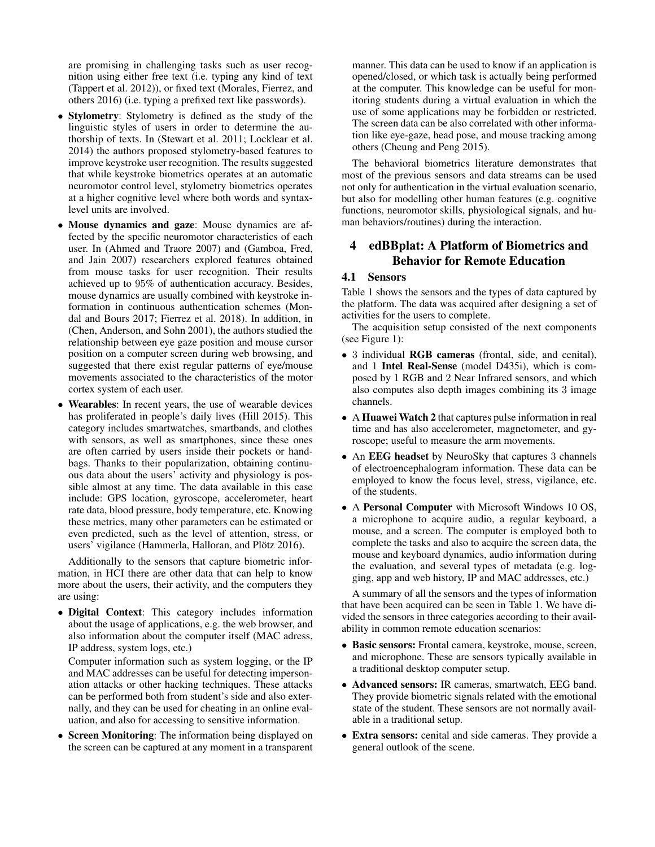are promising in challenging tasks such as user recognition using either free text (i.e. typing any kind of text (Tappert et al. 2012)), or fixed text (Morales, Fierrez, and others 2016) (i.e. typing a prefixed text like passwords).

- Stylometry: Stylometry is defined as the study of the linguistic styles of users in order to determine the authorship of texts. In (Stewart et al. 2011; Locklear et al. 2014) the authors proposed stylometry-based features to improve keystroke user recognition. The results suggested that while keystroke biometrics operates at an automatic neuromotor control level, stylometry biometrics operates at a higher cognitive level where both words and syntaxlevel units are involved.
- Mouse dynamics and gaze: Mouse dynamics are affected by the specific neuromotor characteristics of each user. In (Ahmed and Traore 2007) and (Gamboa, Fred, and Jain 2007) researchers explored features obtained from mouse tasks for user recognition. Their results achieved up to 95% of authentication accuracy. Besides, mouse dynamics are usually combined with keystroke information in continuous authentication schemes (Mondal and Bours 2017; Fierrez et al. 2018). In addition, in (Chen, Anderson, and Sohn 2001), the authors studied the relationship between eye gaze position and mouse cursor position on a computer screen during web browsing, and suggested that there exist regular patterns of eye/mouse movements associated to the characteristics of the motor cortex system of each user.
- Wearables: In recent years, the use of wearable devices has proliferated in people's daily lives (Hill 2015). This category includes smartwatches, smartbands, and clothes with sensors, as well as smartphones, since these ones are often carried by users inside their pockets or handbags. Thanks to their popularization, obtaining continuous data about the users' activity and physiology is possible almost at any time. The data available in this case include: GPS location, gyroscope, accelerometer, heart rate data, blood pressure, body temperature, etc. Knowing these metrics, many other parameters can be estimated or even predicted, such as the level of attention, stress, or users' vigilance (Hammerla, Halloran, and Plötz 2016).

Additionally to the sensors that capture biometric information, in HCI there are other data that can help to know more about the users, their activity, and the computers they are using:

• Digital Context: This category includes information about the usage of applications, e.g. the web browser, and also information about the computer itself (MAC adress, IP address, system logs, etc.)

Computer information such as system logging, or the IP and MAC addresses can be useful for detecting impersonation attacks or other hacking techniques. These attacks can be performed both from student's side and also externally, and they can be used for cheating in an online evaluation, and also for accessing to sensitive information.

• Screen Monitoring: The information being displayed on the screen can be captured at any moment in a transparent

manner. This data can be used to know if an application is opened/closed, or which task is actually being performed at the computer. This knowledge can be useful for monitoring students during a virtual evaluation in which the use of some applications may be forbidden or restricted. The screen data can be also correlated with other information like eye-gaze, head pose, and mouse tracking among others (Cheung and Peng 2015).

The behavioral biometrics literature demonstrates that most of the previous sensors and data streams can be used not only for authentication in the virtual evaluation scenario, but also for modelling other human features (e.g. cognitive functions, neuromotor skills, physiological signals, and human behaviors/routines) during the interaction.

### 4 edBBplat: A Platform of Biometrics and Behavior for Remote Education

### 4.1 Sensors

Table 1 shows the sensors and the types of data captured by the platform. The data was acquired after designing a set of activities for the users to complete.

The acquisition setup consisted of the next components (see Figure 1):

- 3 individual **RGB cameras** (frontal, side, and cenital), and 1 Intel Real-Sense (model D435i), which is composed by 1 RGB and 2 Near Infrared sensors, and which also computes also depth images combining its 3 image channels.
- A Huawei Watch 2 that captures pulse information in real time and has also accelerometer, magnetometer, and gyroscope; useful to measure the arm movements.
- An **EEG** headset by NeuroSky that captures 3 channels of electroencephalogram information. These data can be employed to know the focus level, stress, vigilance, etc. of the students.
- A Personal Computer with Microsoft Windows 10 OS, a microphone to acquire audio, a regular keyboard, a mouse, and a screen. The computer is employed both to complete the tasks and also to acquire the screen data, the mouse and keyboard dynamics, audio information during the evaluation, and several types of metadata (e.g. logging, app and web history, IP and MAC addresses, etc.)

A summary of all the sensors and the types of information that have been acquired can be seen in Table 1. We have divided the sensors in three categories according to their availability in common remote education scenarios:

- Basic sensors: Frontal camera, keystroke, mouse, screen, and microphone. These are sensors typically available in a traditional desktop computer setup.
- Advanced sensors: IR cameras, smartwatch, EEG band. They provide biometric signals related with the emotional state of the student. These sensors are not normally available in a traditional setup.
- Extra sensors: cenital and side cameras. They provide a general outlook of the scene.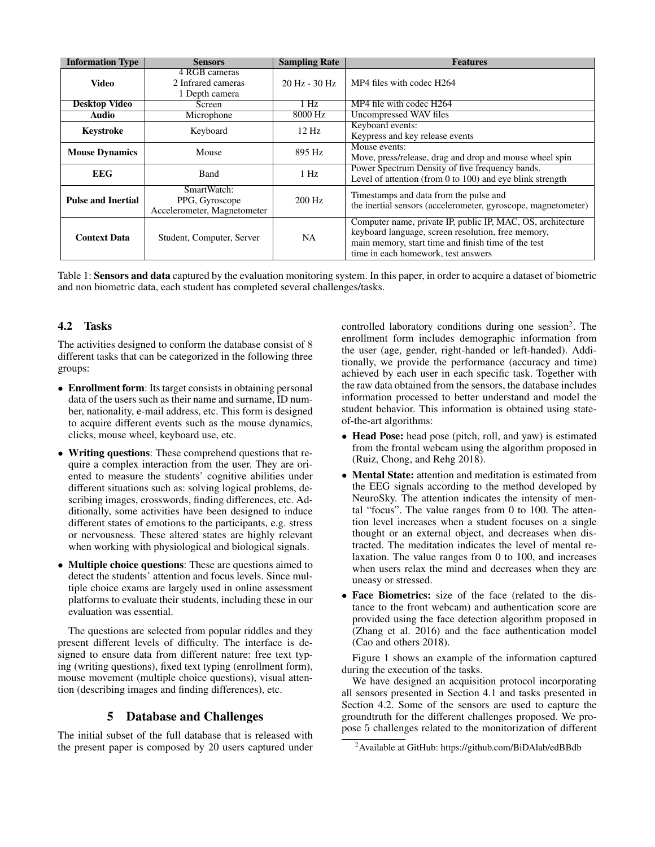| <b>Information Type</b>   | <b>Sensors</b>                                               | <b>Sampling Rate</b>            | <b>Features</b>                                                                                                                                                                                                 |
|---------------------------|--------------------------------------------------------------|---------------------------------|-----------------------------------------------------------------------------------------------------------------------------------------------------------------------------------------------------------------|
| Video                     | 4 RGB cameras<br>2 Infrared cameras<br>1 Depth camera        | $20 \text{ Hz} - 30 \text{ Hz}$ | MP4 files with codec H264                                                                                                                                                                                       |
| <b>Desktop Video</b>      | Screen                                                       | 1 Hz.                           | MP4 file with codec H264                                                                                                                                                                                        |
| Audio                     | Microphone                                                   | 8000 Hz                         | Uncompressed WAV files                                                                                                                                                                                          |
| <b>Keystroke</b>          | Keyboard                                                     | $12 \text{ Hz}$                 | Keyboard events:<br>Keypress and key release events                                                                                                                                                             |
| <b>Mouse Dynamics</b>     | Mouse                                                        | 895 Hz                          | Mouse events:<br>Move, press/release, drag and drop and mouse wheel spin                                                                                                                                        |
| <b>EEG</b>                | Band                                                         | $1$ Hz                          | Power Spectrum Density of five frequency bands.<br>Level of attention (from 0 to 100) and eye blink strength                                                                                                    |
| <b>Pulse and Inertial</b> | SmartWatch:<br>PPG, Gyroscope<br>Accelerometer, Magnetometer | $200$ Hz                        | Timestamps and data from the pulse and<br>the inertial sensors (accelerometer, gyroscope, magnetometer)                                                                                                         |
| <b>Context Data</b>       | Student, Computer, Server                                    | <b>NA</b>                       | Computer name, private IP, public IP, MAC, OS, architecture<br>keyboard language, screen resolution, free memory,<br>main memory, start time and finish time of the test<br>time in each homework, test answers |

Table 1: Sensors and data captured by the evaluation monitoring system. In this paper, in order to acquire a dataset of biometric and non biometric data, each student has completed several challenges/tasks.

### 4.2 Tasks

The activities designed to conform the database consist of 8 different tasks that can be categorized in the following three groups:

- Enrollment form: Its target consists in obtaining personal data of the users such as their name and surname, ID number, nationality, e-mail address, etc. This form is designed to acquire different events such as the mouse dynamics, clicks, mouse wheel, keyboard use, etc.
- Writing questions: These comprehend questions that require a complex interaction from the user. They are oriented to measure the students' cognitive abilities under different situations such as: solving logical problems, describing images, crosswords, finding differences, etc. Additionally, some activities have been designed to induce different states of emotions to the participants, e.g. stress or nervousness. These altered states are highly relevant when working with physiological and biological signals.
- **Multiple choice questions**: These are questions aimed to detect the students' attention and focus levels. Since multiple choice exams are largely used in online assessment platforms to evaluate their students, including these in our evaluation was essential.

The questions are selected from popular riddles and they present different levels of difficulty. The interface is designed to ensure data from different nature: free text typing (writing questions), fixed text typing (enrollment form), mouse movement (multiple choice questions), visual attention (describing images and finding differences), etc.

### 5 Database and Challenges

The initial subset of the full database that is released with the present paper is composed by 20 users captured under

controlled laboratory conditions during one session<sup>2</sup>. The enrollment form includes demographic information from the user (age, gender, right-handed or left-handed). Additionally, we provide the performance (accuracy and time) achieved by each user in each specific task. Together with the raw data obtained from the sensors, the database includes information processed to better understand and model the student behavior. This information is obtained using stateof-the-art algorithms:

- Head Pose: head pose (pitch, roll, and yaw) is estimated from the frontal webcam using the algorithm proposed in (Ruiz, Chong, and Rehg 2018).
- Mental State: attention and meditation is estimated from the EEG signals according to the method developed by NeuroSky. The attention indicates the intensity of mental "focus". The value ranges from 0 to 100. The attention level increases when a student focuses on a single thought or an external object, and decreases when distracted. The meditation indicates the level of mental relaxation. The value ranges from 0 to 100, and increases when users relax the mind and decreases when they are uneasy or stressed.
- Face Biometrics: size of the face (related to the distance to the front webcam) and authentication score are provided using the face detection algorithm proposed in (Zhang et al. 2016) and the face authentication model (Cao and others 2018).

Figure 1 shows an example of the information captured during the execution of the tasks.

We have designed an acquisition protocol incorporating all sensors presented in Section 4.1 and tasks presented in Section 4.2. Some of the sensors are used to capture the groundtruth for the different challenges proposed. We propose 5 challenges related to the monitorization of different

<sup>2</sup>Available at GitHub: https://github.com/BiDAlab/edBBdb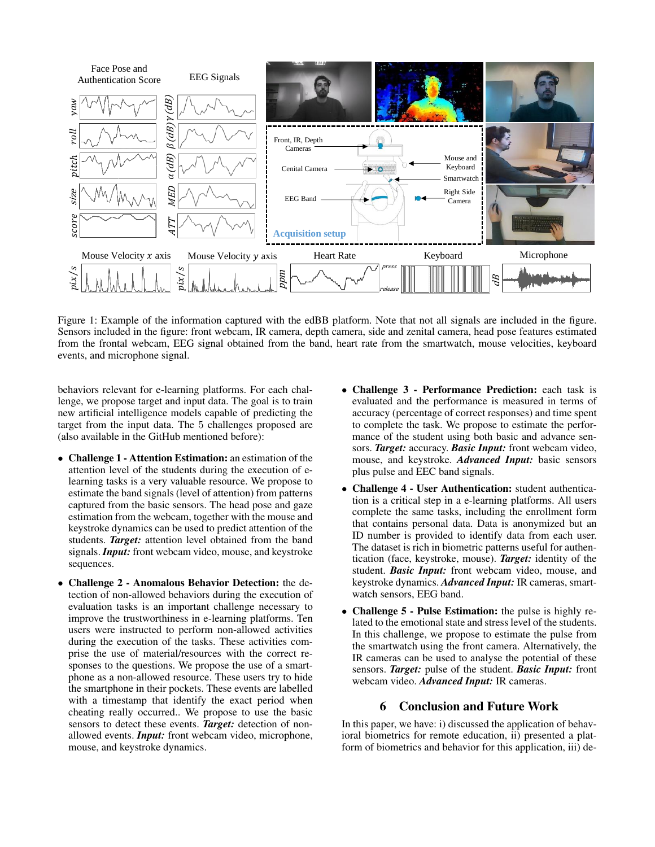

Figure 1: Example of the information captured with the edBB platform. Note that not all signals are included in the figure. Sensors included in the figure: front webcam, IR camera, depth camera, side and zenital camera, head pose features estimated from the frontal webcam, EEG signal obtained from the band, heart rate from the smartwatch, mouse velocities, keyboard events, and microphone signal.

behaviors relevant for e-learning platforms. For each challenge, we propose target and input data. The goal is to train new artificial intelligence models capable of predicting the target from the input data. The 5 challenges proposed are (also available in the GitHub mentioned before):

- Challenge 1 Attention Estimation: an estimation of the attention level of the students during the execution of elearning tasks is a very valuable resource. We propose to estimate the band signals (level of attention) from patterns captured from the basic sensors. The head pose and gaze estimation from the webcam, together with the mouse and keystroke dynamics can be used to predict attention of the students. *Target:* attention level obtained from the band signals. *Input:* front webcam video, mouse, and keystroke sequences.
- Challenge 2 Anomalous Behavior Detection: the detection of non-allowed behaviors during the execution of evaluation tasks is an important challenge necessary to improve the trustworthiness in e-learning platforms. Ten users were instructed to perform non-allowed activities during the execution of the tasks. These activities comprise the use of material/resources with the correct responses to the questions. We propose the use of a smartphone as a non-allowed resource. These users try to hide the smartphone in their pockets. These events are labelled with a timestamp that identify the exact period when cheating really occurred.. We propose to use the basic sensors to detect these events. *Target:* detection of nonallowed events. *Input:* front webcam video, microphone, mouse, and keystroke dynamics.
- Challenge 3 Performance Prediction: each task is evaluated and the performance is measured in terms of accuracy (percentage of correct responses) and time spent to complete the task. We propose to estimate the performance of the student using both basic and advance sensors. *Target:* accuracy. *Basic Input:* front webcam video, mouse, and keystroke. *Advanced Input:* basic sensors plus pulse and EEC band signals.
- Challenge 4 User Authentication: student authentication is a critical step in a e-learning platforms. All users complete the same tasks, including the enrollment form that contains personal data. Data is anonymized but an ID number is provided to identify data from each user. The dataset is rich in biometric patterns useful for authentication (face, keystroke, mouse). *Target:* identity of the student. *Basic Input:* front webcam video, mouse, and keystroke dynamics. *Advanced Input:* IR cameras, smartwatch sensors, EEG band.
- Challenge 5 Pulse Estimation: the pulse is highly related to the emotional state and stress level of the students. In this challenge, we propose to estimate the pulse from the smartwatch using the front camera. Alternatively, the IR cameras can be used to analyse the potential of these sensors. *Target:* pulse of the student. *Basic Input:* front webcam video. *Advanced Input:* IR cameras.

### 6 Conclusion and Future Work

In this paper, we have: i) discussed the application of behavioral biometrics for remote education, ii) presented a platform of biometrics and behavior for this application, iii) de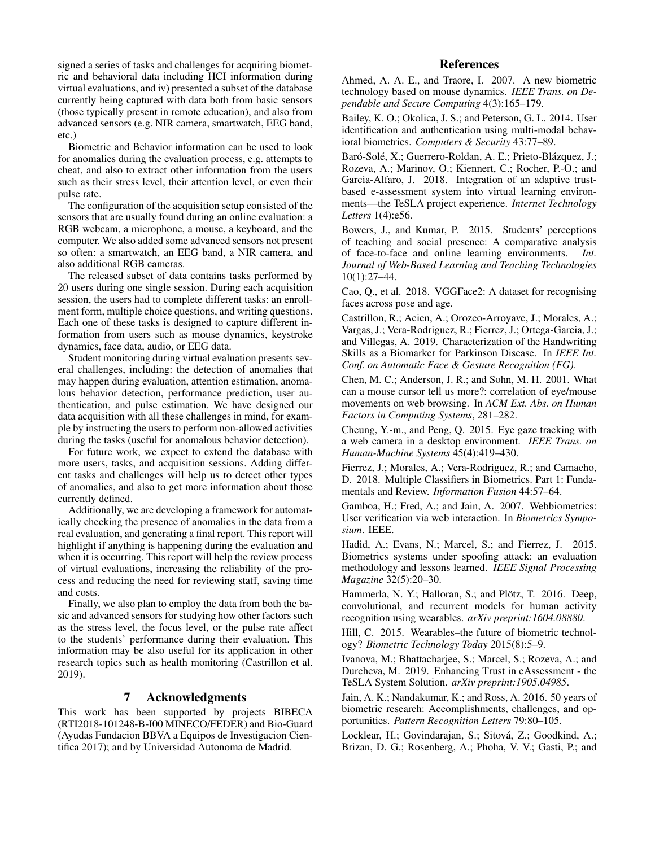signed a series of tasks and challenges for acquiring biometric and behavioral data including HCI information during virtual evaluations, and iv) presented a subset of the database currently being captured with data both from basic sensors (those typically present in remote education), and also from advanced sensors (e.g. NIR camera, smartwatch, EEG band, etc.)

Biometric and Behavior information can be used to look for anomalies during the evaluation process, e.g. attempts to cheat, and also to extract other information from the users such as their stress level, their attention level, or even their pulse rate.

The configuration of the acquisition setup consisted of the sensors that are usually found during an online evaluation: a RGB webcam, a microphone, a mouse, a keyboard, and the computer. We also added some advanced sensors not present so often: a smartwatch, an EEG band, a NIR camera, and also additional RGB cameras.

The released subset of data contains tasks performed by 20 users during one single session. During each acquisition session, the users had to complete different tasks: an enrollment form, multiple choice questions, and writing questions. Each one of these tasks is designed to capture different information from users such as mouse dynamics, keystroke dynamics, face data, audio, or EEG data.

Student monitoring during virtual evaluation presents several challenges, including: the detection of anomalies that may happen during evaluation, attention estimation, anomalous behavior detection, performance prediction, user authentication, and pulse estimation. We have designed our data acquisition with all these challenges in mind, for example by instructing the users to perform non-allowed activities during the tasks (useful for anomalous behavior detection).

For future work, we expect to extend the database with more users, tasks, and acquisition sessions. Adding different tasks and challenges will help us to detect other types of anomalies, and also to get more information about those currently defined.

Additionally, we are developing a framework for automatically checking the presence of anomalies in the data from a real evaluation, and generating a final report. This report will highlight if anything is happening during the evaluation and when it is occurring. This report will help the review process of virtual evaluations, increasing the reliability of the process and reducing the need for reviewing staff, saving time and costs.

Finally, we also plan to employ the data from both the basic and advanced sensors for studying how other factors such as the stress level, the focus level, or the pulse rate affect to the students' performance during their evaluation. This information may be also useful for its application in other research topics such as health monitoring (Castrillon et al. 2019).

#### 7 Acknowledgments

This work has been supported by projects BIBECA (RTI2018-101248-B-I00 MINECO/FEDER) and Bio-Guard (Ayudas Fundacion BBVA a Equipos de Investigacion Cientifica 2017); and by Universidad Autonoma de Madrid.

### References

Ahmed, A. A. E., and Traore, I. 2007. A new biometric technology based on mouse dynamics. *IEEE Trans. on Dependable and Secure Computing* 4(3):165–179.

Bailey, K. O.; Okolica, J. S.; and Peterson, G. L. 2014. User identification and authentication using multi-modal behavioral biometrics. *Computers & Security* 43:77–89.

Baró-Solé, X.; Guerrero-Roldan, A. E.; Prieto-Blázquez, J.; Rozeva, A.; Marinov, O.; Kiennert, C.; Rocher, P.-O.; and Garcia-Alfaro, J. 2018. Integration of an adaptive trustbased e-assessment system into virtual learning environments—the TeSLA project experience. *Internet Technology Letters* 1(4):e56.

Bowers, J., and Kumar, P. 2015. Students' perceptions of teaching and social presence: A comparative analysis of face-to-face and online learning environments. *Int. Journal of Web-Based Learning and Teaching Technologies* 10(1):27–44.

Cao, Q., et al. 2018. VGGFace2: A dataset for recognising faces across pose and age.

Castrillon, R.; Acien, A.; Orozco-Arroyave, J.; Morales, A.; Vargas, J.; Vera-Rodriguez, R.; Fierrez, J.; Ortega-Garcia, J.; and Villegas, A. 2019. Characterization of the Handwriting Skills as a Biomarker for Parkinson Disease. In *IEEE Int. Conf. on Automatic Face & Gesture Recognition (FG)*.

Chen, M. C.; Anderson, J. R.; and Sohn, M. H. 2001. What can a mouse cursor tell us more?: correlation of eye/mouse movements on web browsing. In *ACM Ext. Abs. on Human Factors in Computing Systems*, 281–282.

Cheung, Y.-m., and Peng, Q. 2015. Eye gaze tracking with a web camera in a desktop environment. *IEEE Trans. on Human-Machine Systems* 45(4):419–430.

Fierrez, J.; Morales, A.; Vera-Rodriguez, R.; and Camacho, D. 2018. Multiple Classifiers in Biometrics. Part 1: Fundamentals and Review. *Information Fusion* 44:57–64.

Gamboa, H.; Fred, A.; and Jain, A. 2007. Webbiometrics: User verification via web interaction. In *Biometrics Symposium*. IEEE.

Hadid, A.; Evans, N.; Marcel, S.; and Fierrez, J. 2015. Biometrics systems under spoofing attack: an evaluation methodology and lessons learned. *IEEE Signal Processing Magazine* 32(5):20–30.

Hammerla, N. Y.; Halloran, S.; and Plötz, T. 2016. Deep, convolutional, and recurrent models for human activity recognition using wearables. *arXiv preprint:1604.08880*.

Hill, C. 2015. Wearables–the future of biometric technology? *Biometric Technology Today* 2015(8):5–9.

Ivanova, M.; Bhattacharjee, S.; Marcel, S.; Rozeva, A.; and Durcheva, M. 2019. Enhancing Trust in eAssessment - the TeSLA System Solution. *arXiv preprint:1905.04985*.

Jain, A. K.; Nandakumar, K.; and Ross, A. 2016. 50 years of biometric research: Accomplishments, challenges, and opportunities. *Pattern Recognition Letters* 79:80–105.

Locklear, H.; Govindarajan, S.; Sitová, Z.; Goodkind, A.; Brizan, D. G.; Rosenberg, A.; Phoha, V. V.; Gasti, P.; and